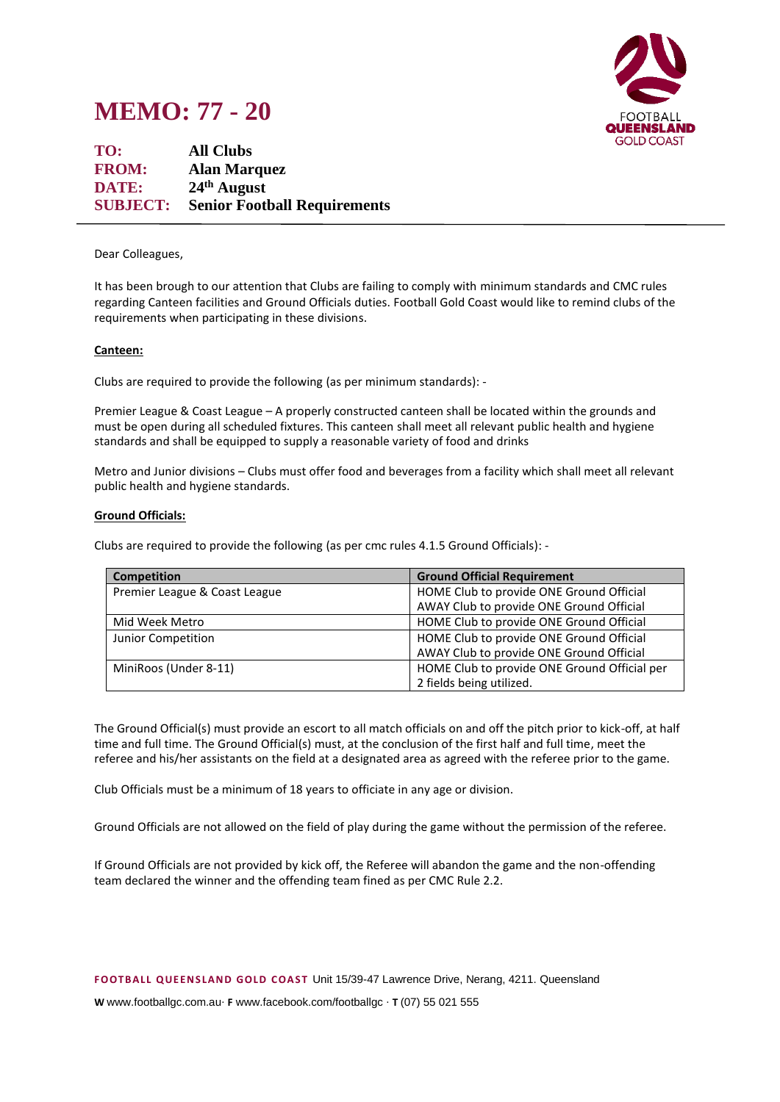



**TO: All Clubs FROM: Alan Marquez DATE: 24th August SUBJECT: Senior Football Requirements**

## Dear Colleagues,

It has been brough to our attention that Clubs are failing to comply with minimum standards and CMC rules regarding Canteen facilities and Ground Officials duties. Football Gold Coast would like to remind clubs of the requirements when participating in these divisions.

## **Canteen:**

Clubs are required to provide the following (as per minimum standards): -

Premier League & Coast League – A properly constructed canteen shall be located within the grounds and must be open during all scheduled fixtures. This canteen shall meet all relevant public health and hygiene standards and shall be equipped to supply a reasonable variety of food and drinks

Metro and Junior divisions – Clubs must offer food and beverages from a facility which shall meet all relevant public health and hygiene standards.

## **Ground Officials:**

Clubs are required to provide the following (as per cmc rules 4.1.5 Ground Officials): -

| <b>Competition</b>            | <b>Ground Official Requirement</b>           |
|-------------------------------|----------------------------------------------|
| Premier League & Coast League | HOME Club to provide ONE Ground Official     |
|                               | AWAY Club to provide ONE Ground Official     |
| Mid Week Metro                | HOME Club to provide ONE Ground Official     |
| Junior Competition            | HOME Club to provide ONE Ground Official     |
|                               | AWAY Club to provide ONE Ground Official     |
| MiniRoos (Under 8-11)         | HOME Club to provide ONE Ground Official per |
|                               | 2 fields being utilized.                     |

The Ground Official(s) must provide an escort to all match officials on and off the pitch prior to kick-off, at half time and full time. The Ground Official(s) must, at the conclusion of the first half and full time, meet the referee and his/her assistants on the field at a designated area as agreed with the referee prior to the game.

Club Officials must be a minimum of 18 years to officiate in any age or division.

Ground Officials are not allowed on the field of play during the game without the permission of the referee.

If Ground Officials are not provided by kick off, the Referee will abandon the game and the non-offending team declared the winner and the offending team fined as per CMC Rule 2.2.

**F OOTB ALL Q UE EN S LAN D GOLD C OAS T** Unit 15/39-47 Lawrence Drive, Nerang, 4211. Queensland

**W** www.footballgc.com.au. **F** www.facebook.com/footballgc . **T** (07) 55 021 555